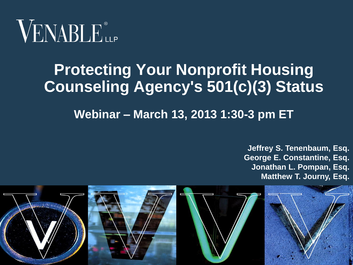

### **Protecting Your Nonprofit Housing Counseling Agency's 501(c)(3) Status**

**Webinar – March 13, 2013 1:30-3 pm ET**

**Jeffrey S. Tenenbaum, Esq. George E. Constantine, Esq. Jonathan L. Pompan, Esq. Matthew T. Journy, Esq.**

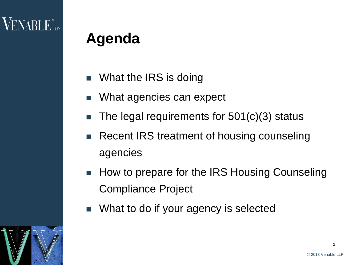### **Agenda**

- What the IRS is doing
- What agencies can expect
- The legal requirements for 501(c)(3) status
- Recent IRS treatment of housing counseling agencies
- How to prepare for the IRS Housing Counseling Compliance Project
- **Nhat to do if your agency is selected**

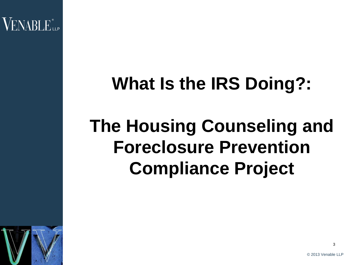$\mathsf{VENABI}\_\mathsf{Lip}^*$ 

# **What Is the IRS Doing?:**

# **The Housing Counseling and Foreclosure Prevention Compliance Project**

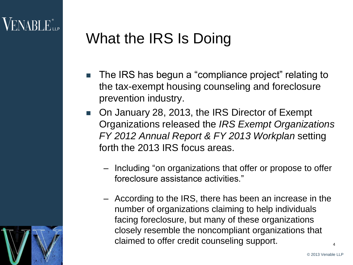## What the IRS Is Doing

- The IRS has begun a "compliance project" relating to the tax-exempt housing counseling and foreclosure prevention industry.
- On January 28, 2013, the IRS Director of Exempt Organizations released the *IRS Exempt Organizations FY 2012 Annual Report & FY 2013 Workplan* setting forth the 2013 IRS focus areas.
	- Including "on organizations that offer or propose to offer foreclosure assistance activities."
	- According to the IRS, there has been an increase in the number of organizations claiming to help individuals facing foreclosure, but many of these organizations closely resemble the noncompliant organizations that claimed to offer credit counseling support.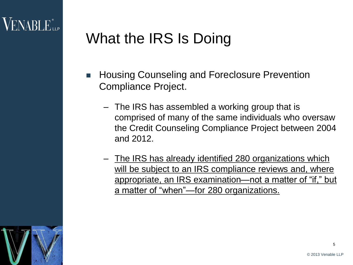## What the IRS Is Doing

- Housing Counseling and Foreclosure Prevention Compliance Project.
	- The IRS has assembled a working group that is comprised of many of the same individuals who oversaw the Credit Counseling Compliance Project between 2004 and 2012.
	- The IRS has already identified 280 organizations which will be subject to an IRS compliance reviews and, where appropriate, an IRS examination—not a matter of "if," but a matter of "when"—for 280 organizations.

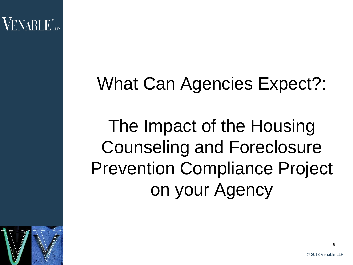## What Can Agencies Expect?:

The Impact of the Housing Counseling and Foreclosure Prevention Compliance Project on your Agency

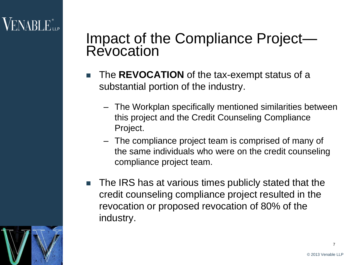### $\sf{VENABLE}^*$

### Impact of the Compliance Project— **Revocation**

- The **REVOCATION** of the tax-exempt status of a substantial portion of the industry.
	- The Workplan specifically mentioned similarities between this project and the Credit Counseling Compliance Project.
	- The compliance project team is comprised of many of the same individuals who were on the credit counseling compliance project team.
- The IRS has at various times publicly stated that the credit counseling compliance project resulted in the revocation or proposed revocation of 80% of the industry.

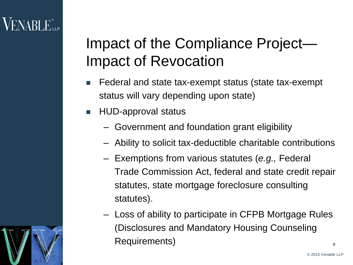### Impact of the Compliance Project— Impact of Revocation

- Federal and state tax-exempt status (state tax-exempt status will vary depending upon state)
- HUD-approval status
	- Government and foundation grant eligibility
	- Ability to solicit tax-deductible charitable contributions
	- Exemptions from various statutes (*e.g.,* Federal Trade Commission Act, federal and state credit repair statutes, state mortgage foreclosure consulting statutes).
	- Loss of ability to participate in CFPB Mortgage Rules (Disclosures and Mandatory Housing Counseling Requirements)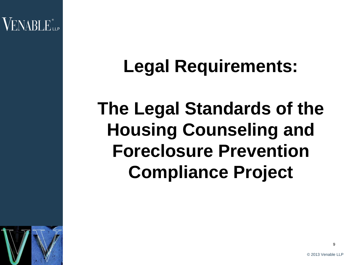## **Legal Requirements:**

# **The Legal Standards of the Housing Counseling and Foreclosure Prevention Compliance Project**

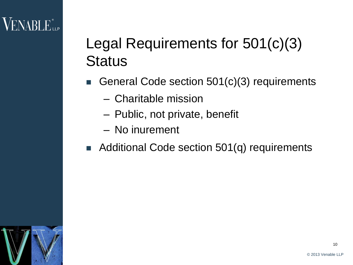## $VENABLE$

### Legal Requirements for 501(c)(3) **Status**

- General Code section 501(c)(3) requirements
	- Charitable mission
	- Public, not private, benefit
	- No inurement
- Additional Code section 501(q) requirements

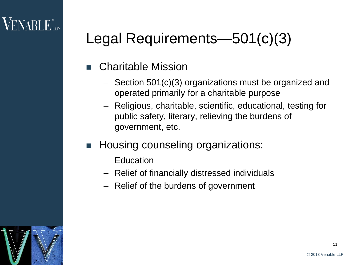### $\sf{VENABLE}^*$

- Charitable Mission
	- Section 501(c)(3) organizations must be organized and operated primarily for a charitable purpose
	- Religious, charitable, scientific, educational, testing for public safety, literary, relieving the burdens of government, etc.
- Housing counseling organizations:
	- Education
	- Relief of financially distressed individuals
	- Relief of the burdens of government

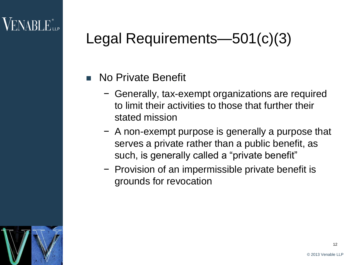#### No Private Benefit

- − Generally, tax-exempt organizations are required to limit their activities to those that further their stated mission
- − A non-exempt purpose is generally a purpose that serves a private rather than a public benefit, as such, is generally called a "private benefit"
- − Provision of an impermissible private benefit is grounds for revocation

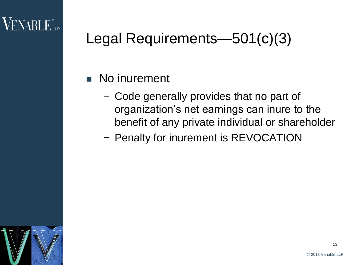### No inurement

- − Code generally provides that no part of organization's net earnings can inure to the benefit of any private individual or shareholder
- − Penalty for inurement is REVOCATION

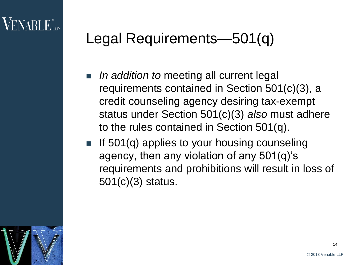- *In addition to* meeting all current legal requirements contained in Section 501(c)(3), a credit counseling agency desiring tax-exempt status under Section 501(c)(3) *also* must adhere to the rules contained in Section 501(q).
- If  $501(q)$  applies to your housing counseling agency, then any violation of any 501(q)'s requirements and prohibitions will result in loss of 501(c)(3) status.

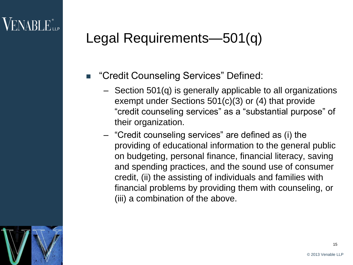- "Credit Counseling Services" Defined:
	- Section 501(q) is generally applicable to all organizations exempt under Sections 501(c)(3) or (4) that provide "credit counseling services" as a "substantial purpose" of their organization.
	- "Credit counseling services" are defined as (i) the providing of educational information to the general public on budgeting, personal finance, financial literacy, saving and spending practices, and the sound use of consumer credit, (ii) the assisting of individuals and families with financial problems by providing them with counseling, or (iii) a combination of the above.

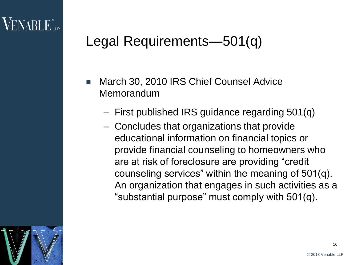- March 30, 2010 IRS Chief Counsel Advice Memorandum
	- First published IRS guidance regarding 501(q)
	- Concludes that organizations that provide educational information on financial topics or provide financial counseling to homeowners who are at risk of foreclosure are providing "credit counseling services" within the meaning of 501(q). An organization that engages in such activities as a "substantial purpose" must comply with 501(q).

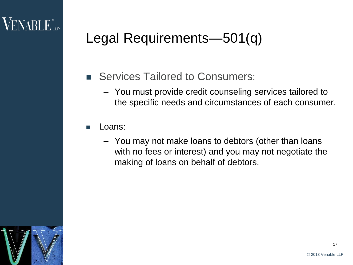- Services Tailored to Consumers:
	- You must provide credit counseling services tailored to the specific needs and circumstances of each consumer.
- **■** Loans:
	- You may not make loans to debtors (other than loans with no fees or interest) and you may not negotiate the making of loans on behalf of debtors.

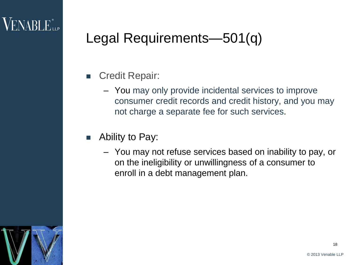- Credit Repair:
	- You may only provide incidental services to improve consumer credit records and credit history, and you may not charge a separate fee for such services.
- Ability to Pay:
	- You may not refuse services based on inability to pay, or on the ineligibility or unwillingness of a consumer to enroll in a debt management plan.

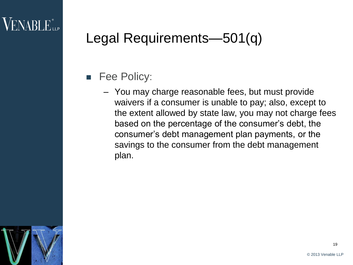- **Fee Policy:** 
	- You may charge reasonable fees, but must provide waivers if a consumer is unable to pay; also, except to the extent allowed by state law, you may not charge fees based on the percentage of the consumer's debt, the consumer's debt management plan payments, or the savings to the consumer from the debt management plan.

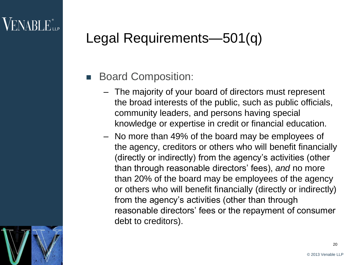#### Board Composition:

- The majority of your board of directors must represent the broad interests of the public, such as public officials, community leaders, and persons having special knowledge or expertise in credit or financial education.
- No more than 49% of the board may be employees of the agency, creditors or others who will benefit financially (directly or indirectly) from the agency's activities (other than through reasonable directors' fees), *and* no more than 20% of the board may be employees of the agency or others who will benefit financially (directly or indirectly) from the agency's activities (other than through reasonable directors' fees or the repayment of consumer debt to creditors).

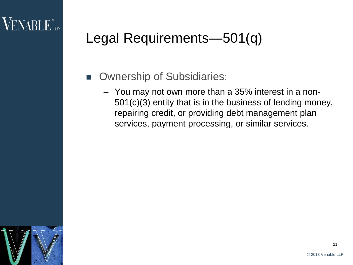- **D** Ownership of Subsidiaries:
	- You may not own more than a 35% interest in a non-501(c)(3) entity that is in the business of lending money, repairing credit, or providing debt management plan services, payment processing, or similar services.

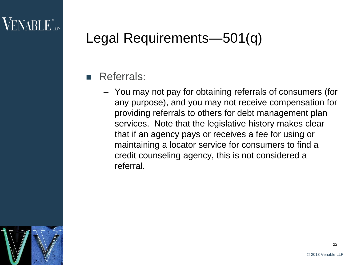#### Referrals:

– You may not pay for obtaining referrals of consumers (for any purpose), and you may not receive compensation for providing referrals to others for debt management plan services. Note that the legislative history makes clear that if an agency pays or receives a fee for using or maintaining a locator service for consumers to find a credit counseling agency, this is not considered a referral.

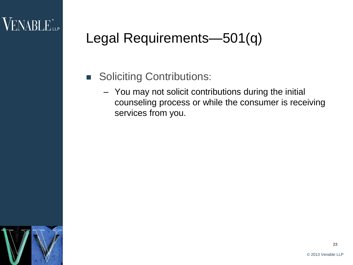- **Soliciting Contributions:** 
	- You may not solicit contributions during the initial counseling process or while the consumer is receiving services from you.

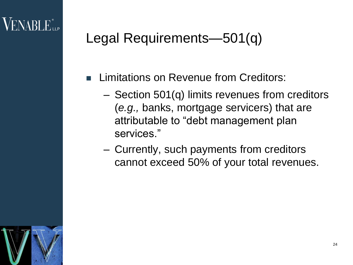- Limitations on Revenue from Creditors:
	- Section 501(q) limits revenues from creditors (*e.g.,* banks, mortgage servicers) that are attributable to "debt management plan services."
	- Currently, such payments from creditors cannot exceed 50% of your total revenues.

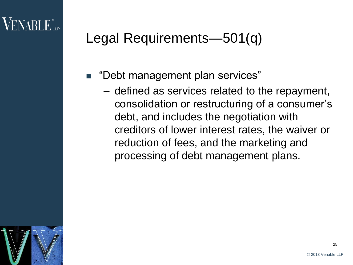- "Debt management plan services"
	- defined as services related to the repayment, consolidation or restructuring of a consumer's debt, and includes the negotiation with creditors of lower interest rates, the waiver or reduction of fees, and the marketing and processing of debt management plans.

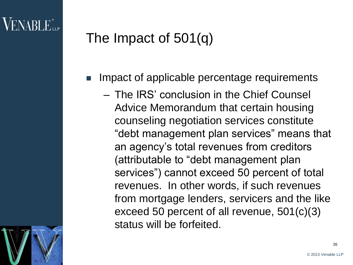- Impact of applicable percentage requirements
	- The IRS' conclusion in the Chief Counsel Advice Memorandum that certain housing counseling negotiation services constitute "debt management plan services" means that an agency's total revenues from creditors (attributable to "debt management plan services") cannot exceed 50 percent of total revenues. In other words, if such revenues from mortgage lenders, servicers and the like exceed 50 percent of all revenue, 501(c)(3) status will be forfeited.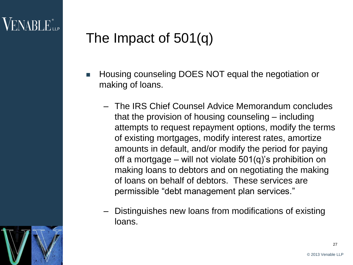- Housing counseling DOES NOT equal the negotiation or making of loans.
	- The IRS Chief Counsel Advice Memorandum concludes that the provision of housing counseling – including attempts to request repayment options, modify the terms of existing mortgages, modify interest rates, amortize amounts in default, and/or modify the period for paying off a mortgage – will not violate 501(q)'s prohibition on making loans to debtors and on negotiating the making of loans on behalf of debtors. These services are permissible "debt management plan services."
	- Distinguishes new loans from modifications of existing loans.



27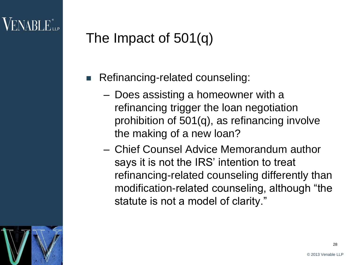- Refinancing-related counseling:
	- Does assisting a homeowner with a refinancing trigger the loan negotiation prohibition of 501(q), as refinancing involve the making of a new loan?
	- Chief Counsel Advice Memorandum author says it is not the IRS' intention to treat refinancing-related counseling differently than modification-related counseling, although "the statute is not a model of clarity."

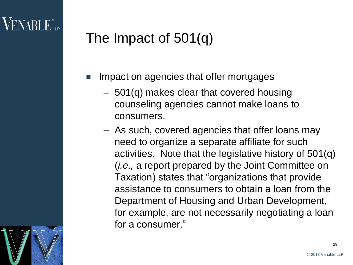- Impact on agencies that offer mortgages
	- 501(q) makes clear that covered housing counseling agencies cannot make loans to consumers.
	- As such, covered agencies that offer loans may need to organize a separate affiliate for such activities. Note that the legislative history of 501(q) (*i.e.,* a report prepared by the Joint Committee on Taxation) states that "organizations that provide assistance to consumers to obtain a loan from the Department of Housing and Urban Development, for example, are not necessarily negotiating a loan for a consumer."

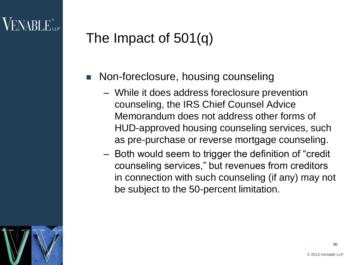- Non-foreclosure, housing counseling
	- While it does address foreclosure prevention counseling, the IRS Chief Counsel Advice Memorandum does not address other forms of HUD-approved housing counseling services, such as pre-purchase or reverse mortgage counseling.
	- Both would seem to trigger the definition of "credit counseling services," but revenues from creditors in connection with such counseling (if any) may not be subject to the 50-percent limitation.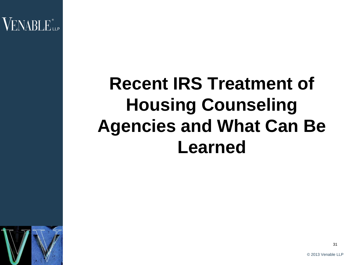VENABLE<sup>®</sup>LLP

# **Recent IRS Treatment of Housing Counseling Agencies and What Can Be Learned**

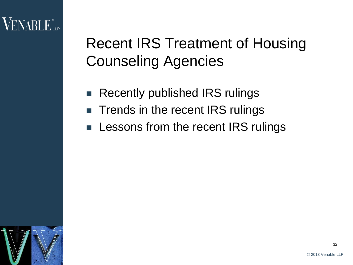

### Recent IRS Treatment of Housing Counseling Agencies

- Recently published IRS rulings
- **Trends in the recent IRS rulings**
- Lessons from the recent IRS rulings

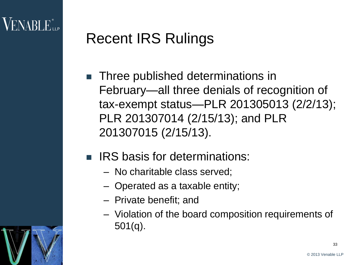### Recent IRS Rulings

- **Three published determinations in** February—all three denials of recognition of tax-exempt status—PLR 201305013 (2/2/13); PLR 201307014 (2/15/13); and PLR 201307015 (2/15/13).
- **RIGUARY IRS basis for determinations:** 
	- No charitable class served;
	- Operated as a taxable entity;
	- Private benefit; and
	- Violation of the board composition requirements of 501(q).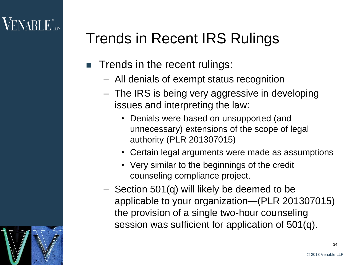## Trends in Recent IRS Rulings

- $\blacksquare$  Trends in the recent rulings:
	- All denials of exempt status recognition
	- The IRS is being very aggressive in developing issues and interpreting the law:
		- Denials were based on unsupported (and unnecessary) extensions of the scope of legal authority (PLR 201307015)
		- Certain legal arguments were made as assumptions
		- Very similar to the beginnings of the credit counseling compliance project.
	- Section 501(q) will likely be deemed to be applicable to your organization—(PLR 201307015) the provision of a single two-hour counseling session was sufficient for application of 501(q).

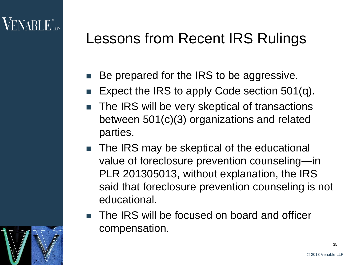### Lessons from Recent IRS Rulings

- Be prepared for the IRS to be aggressive.
- Expect the IRS to apply Code section 501(q).
- The IRS will be very skeptical of transactions between 501(c)(3) organizations and related parties.
- The IRS may be skeptical of the educational value of foreclosure prevention counseling—in PLR 201305013, without explanation, the IRS said that foreclosure prevention counseling is not educational.
- The IRS will be focused on board and officer compensation.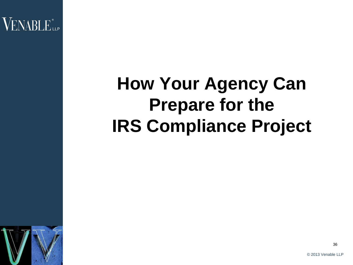VENABLE<sup>®</sup>LLP

# **How Your Agency Can Prepare for the IRS Compliance Project**



36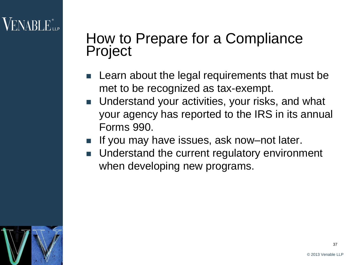### How to Prepare for a Compliance Project

- $\blacksquare$  Learn about the legal requirements that must be met to be recognized as tax-exempt.
- Understand your activities, your risks, and what your agency has reported to the IRS in its annual Forms 990.
- If you may have issues, ask now–not later.
- **Understand the current regulatory environment** when developing new programs.

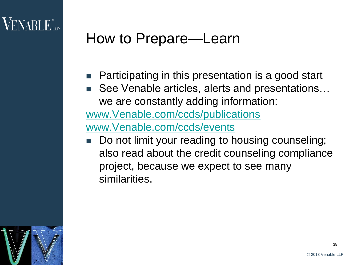### How to Prepare—Learn

- Participating in this presentation is a good start
- See Venable articles, alerts and presentations… we are constantly adding information:

[www.Venable.com/ccds/publications](http://www.venable.com/ccds/publications)

[www.Venable.com/ccds/events](http://www.venable.com/ccds/events)

 Do not limit your reading to housing counseling; also read about the credit counseling compliance project, because we expect to see many similarities.

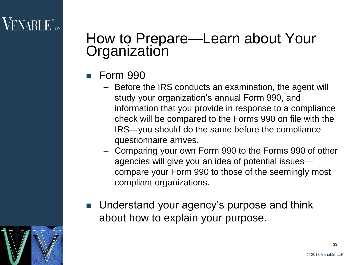### $\sf{VENABLE}^*$

### How to Prepare—Learn about Your **Organization**

- Form 990
	- Before the IRS conducts an examination, the agent will study your organization's annual Form 990, and information that you provide in response to a compliance check will be compared to the Forms 990 on file with the IRS—you should do the same before the compliance questionnaire arrives.
	- Comparing your own Form 990 to the Forms 990 of other agencies will give you an idea of potential issues compare your Form 990 to those of the seemingly most compliant organizations.
- Understand your agency's purpose and think about how to explain your purpose.

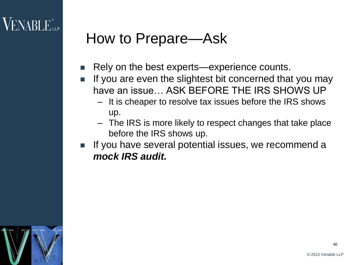### How to Prepare—Ask

- Rely on the best experts—experience counts.
- If you are even the slightest bit concerned that you may have an issue… ASK BEFORE THE IRS SHOWS UP
	- It is cheaper to resolve tax issues before the IRS shows up.
	- The IRS is more likely to respect changes that take place before the IRS shows up.
- If you have several potential issues, we recommend a *mock IRS audit.*

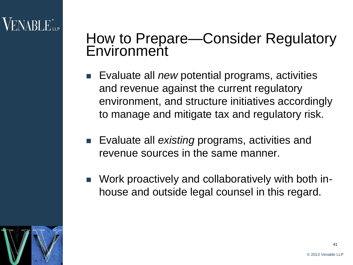### How to Prepare—Consider Regulatory **Environment**

- Evaluate all *new* potential programs, activities and revenue against the current regulatory environment, and structure initiatives accordingly to manage and mitigate tax and regulatory risk.
- **Exaluate all** *existing* programs, activities and revenue sources in the same manner.
- Work proactively and collaboratively with both inhouse and outside legal counsel in this regard.

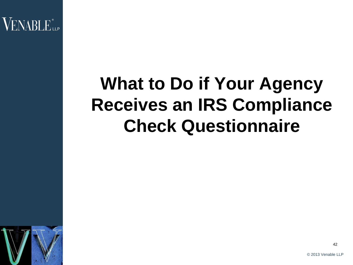VENABLE"...

# **What to Do if Your Agency Receives an IRS Compliance Check Questionnaire**



42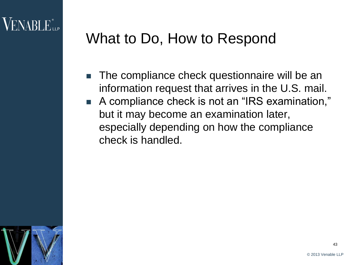### What to Do, How to Respond

- **The compliance check questionnaire will be an** information request that arrives in the U.S. mail.
- A compliance check is not an "IRS examination," but it may become an examination later, especially depending on how the compliance check is handled.

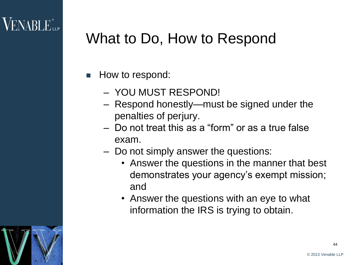### What to Do, How to Respond

- $\blacksquare$  How to respond:
	- YOU MUST RESPOND!
	- Respond honestly—must be signed under the penalties of perjury.
	- Do not treat this as a "form" or as a true false exam.
	- Do not simply answer the questions:
		- Answer the questions in the manner that best demonstrates your agency's exempt mission; and
		- Answer the questions with an eye to what information the IRS is trying to obtain.